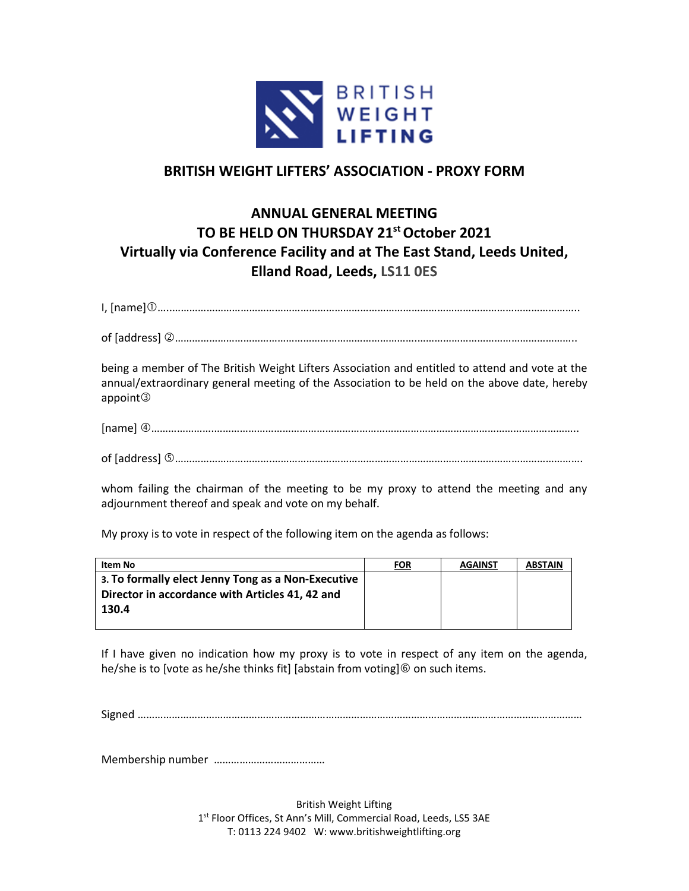

## **BRITISH WEIGHT LIFTERS' ASSOCIATION - PROXY FORM**

## **ANNUAL GENERAL MEETING TO BE HELD ON THURSDAY 21stOctober 2021 Virtually via Conference Facility and at The East Stand, Leeds United, Elland Road, Leeds, LS11 0ES**

I, [name]…..……………………………………………………………………………………………………………………………..

of [address] ………………………………………………………………………….………………………………………………..

being a member of The British Weight Lifters Association and entitled to attend and vote at the annual/extraordinary general meeting of the Association to be held on the above date, hereby appoint

[name] ………………….………………………………………………………………………………………………………………..

of [address] …………………………….……………………………………………………………………………………………….

whom failing the chairman of the meeting to be my proxy to attend the meeting and any adjournment thereof and speak and vote on my behalf.

My proxy is to vote in respect of the following item on the agenda as follows:

| Item No                                            | <b>FOR</b> | <b>AGAINST</b> | <b>ABSTAIN</b> |
|----------------------------------------------------|------------|----------------|----------------|
| 3. To formally elect Jenny Tong as a Non-Executive |            |                |                |
| Director in accordance with Articles 41, 42 and    |            |                |                |
| 130.4                                              |            |                |                |
|                                                    |            |                |                |

If I have given no indication how my proxy is to vote in respect of any item on the agenda, he/she is to [vote as he/she thinks fit] [abstain from voting] $\circledcirc$  on such items.

Signed …………………………………………………………………………………………………………………………………………

Membership number …………………………………

British Weight Lifting 1 st Floor Offices, St Ann's Mill, Commercial Road, Leeds, LS5 3AE T: 0113 224 9402 W: www.britishweightlifting.org